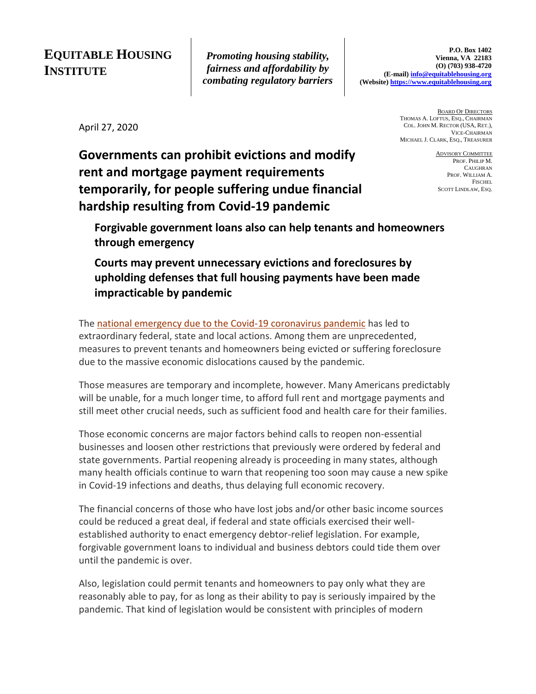# **EQUITABLE HOUSING INSTITUTE**

*Promoting housing stability, fairness and affordability by combating regulatory barriers*

April 27, 2020

BOARD OF DIRECTORS THOMAS A. LOFTUS, ESQ., CHAIRMAN COL. JOHN M. RECTOR (USA, RET.), VICE-CHAIRMAN MICHAEL J. CLARK, ESQ., TREASURER

**Governments can prohibit evictions and modify rent and mortgage payment requirements temporarily, for people suffering undue financial hardship resulting from Covid-19 pandemic**

ADVISORY COMMITTEE PROF. PHILIP M. CAUGHRAN PROF. WILLIAM A. **FISCHEL** SCOTT LINDLAW, ESQ.

**Forgivable government loans also can help tenants and homeowners through emergency**

**Courts may prevent unnecessary evictions and foreclosures by upholding defenses that full housing payments have been made impracticable by pandemic**

The [national emergency due to the Covid-19 coronavirus pandemic](https://www.whitehouse.gov/presidential-actions/proclamation-declaring-national-emergency-concerning-novel-coronavirus-disease-covid-19-outbreak/) has led to extraordinary federal, state and local actions. Among them are unprecedented, measures to prevent tenants and homeowners being evicted or suffering foreclosure due to the massive economic dislocations caused by the pandemic.

Those measures are temporary and incomplete, however. Many Americans predictably will be unable, for a much longer time, to afford full rent and mortgage payments and still meet other crucial needs, such as sufficient food and health care for their families.

Those economic concerns are major factors behind calls to reopen non-essential businesses and loosen other restrictions that previously were ordered by federal and state governments. Partial reopening already is proceeding in many states, although many health officials continue to warn that reopening too soon may cause a new spike in Covid-19 infections and deaths, thus delaying full economic recovery.

The financial concerns of those who have lost jobs and/or other basic income sources could be reduced a great deal, if federal and state officials exercised their wellestablished authority to enact emergency debtor-relief legislation. For example, forgivable government loans to individual and business debtors could tide them over until the pandemic is over.

Also, legislation could permit tenants and homeowners to pay only what they are reasonably able to pay, for as long as their ability to pay is seriously impaired by the pandemic. That kind of legislation would be consistent with principles of modern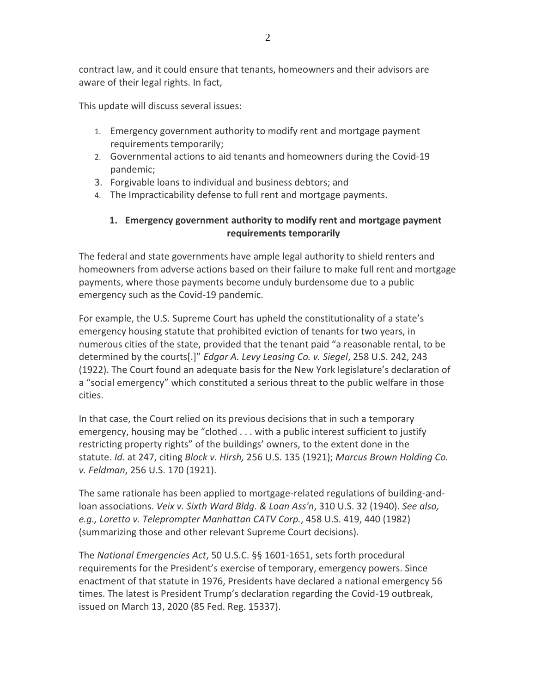contract law, and it could ensure that tenants, homeowners and their advisors are aware of their legal rights. In fact,

This update will discuss several issues:

- 1. Emergency government authority to modify rent and mortgage payment requirements temporarily;
- 2. Governmental actions to aid tenants and homeowners during the Covid-19 pandemic;
- 3. Forgivable loans to individual and business debtors; and
- 4. The Impracticability defense to full rent and mortgage payments.

### **1. Emergency government authority to modify rent and mortgage payment requirements temporarily**

The federal and state governments have ample legal authority to shield renters and homeowners from adverse actions based on their failure to make full rent and mortgage payments, where those payments become unduly burdensome due to a public emergency such as the Covid-19 pandemic.

For example, the U.S. Supreme Court has upheld the constitutionality of a state's emergency housing statute that prohibited eviction of tenants for two years, in numerous cities of the state, provided that the tenant paid "a reasonable rental, to be determined by the courts[.]" *Edgar A. Levy Leasing Co. v. Siegel*, 258 U.S. 242, 243 (1922). The Court found an adequate basis for the New York legislature's declaration of a "social emergency" which constituted a serious threat to the public welfare in those cities.

In that case, the Court relied on its previous decisions that in such a temporary emergency, housing may be "clothed . . . with a public interest sufficient to justify restricting property rights" of the buildings' owners, to the extent done in the statute. *Id.* at 247, citing *Block v. Hirsh,* 256 U.S. 135 (1921); *Marcus Brown Holding Co. v. Feldman*, 256 U.S. 170 (1921).

The same rationale has been applied to mortgage-related regulations of building-andloan associations. *Veix v. Sixth Ward Bldg. & Loan Ass'n*, 310 U.S. 32 (1940). *See also, e.g., Loretto v. Teleprompter Manhattan CATV Corp.*, 458 U.S. 419, 440 (1982) (summarizing those and other relevant Supreme Court decisions).

The *National Emergencies Act*, 50 U.S.C. §§ 1601-1651, sets forth procedural requirements for the President's exercise of temporary, emergency powers. Since enactment of that statute in 1976, Presidents have declared a national emergency 56 times. The latest is President Trump's declaration regarding the Covid-19 outbreak, issued on March 13, 2020 (85 Fed. Reg. 15337).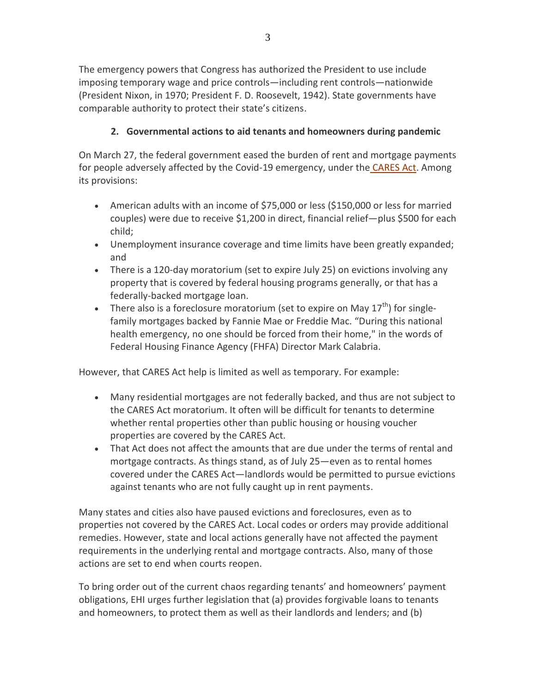The emergency powers that Congress has authorized the President to use include imposing temporary wage and price controls—including rent controls—nationwide (President Nixon, in 1970; President F. D. Roosevelt, 1942). State governments have comparable authority to protect their state's citizens.

## **2. Governmental actions to aid tenants and homeowners during pandemic**

On March 27, the federal government eased the burden of rent and mortgage payments for people adversely affected by the Covid-19 emergency, under the [CARES Act.](https://www.congress.gov/bill/116th-congress/senate-bill/3548/text?q=product+update) Among its provisions:

- American adults with an income of \$75,000 or less (\$150,000 or less for married couples) were due to receive \$1,200 in direct, financial relief—plus \$500 for each child;
- Unemployment insurance coverage and time limits have been greatly expanded; and
- There is a 120-day moratorium (set to expire July 25) on evictions involving any property that is covered by federal housing programs generally, or that has a federally-backed mortgage loan.
- There also is a foreclosure moratorium (set to expire on May  $17^{th}$ ) for singlefamily mortgages backed by Fannie Mae or Freddie Mac. "During this national health emergency, no one should be forced from their home," in the words of Federal Housing Finance Agency (FHFA) Director Mark Calabria.

However, that CARES Act help is limited as well as temporary. For example:

- Many residential mortgages are not federally backed, and thus are not subject to the CARES Act moratorium. It often will be difficult for tenants to determine whether rental properties other than public housing or housing voucher properties are covered by the CARES Act.
- That Act does not affect the amounts that are due under the terms of rental and mortgage contracts. As things stand, as of July 25—even as to rental homes covered under the CARES Act—landlords would be permitted to pursue evictions against tenants who are not fully caught up in rent payments.

Many states and cities also have paused evictions and foreclosures, even as to properties not covered by the CARES Act. Local codes or orders may provide additional remedies. However, state and local actions generally have not affected the payment requirements in the underlying rental and mortgage contracts. Also, many of those actions are set to end when courts reopen.

To bring order out of the current chaos regarding tenants' and homeowners' payment obligations, EHI urges further legislation that (a) provides forgivable loans to tenants and homeowners, to protect them as well as their landlords and lenders; and (b)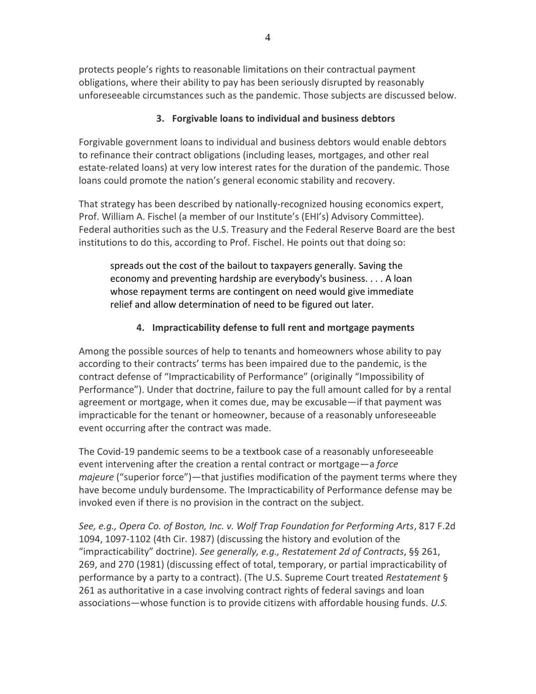protects people's rights to reasonable limitations on their contractual payment obligations, where their ability to pay has been seriously disrupted by reasonably unforeseeable circumstances such as the pandemic. Those subjects are discussed below.

### **3. Forgivable loans to individual and business debtors**

Forgivable government loans to individual and business debtors would enable debtors to refinance their contract obligations (including leases, mortgages, and other real estate-related loans) at very low interest rates for the duration of the pandemic. Those loans could promote the nation's general economic stability and recovery.

That strategy has been described by nationally-recognized housing economics expert, Prof. William A. Fischel (a member of our Institute's (EHI's) Advisory Committee). Federal authorities such as the U.S. Treasury and the Federal Reserve Board are the best institutions to do this, according to Prof. Fischel. He points out that doing so:

spreads out the cost of the bailout to taxpayers generally. Saving the economy and preventing hardship are everybody's business. . . . A loan whose repayment terms are contingent on need would give immediate relief and allow determination of need to be figured out later.

## **4. Impracticability defense to full rent and mortgage payments**

Among the possible sources of help to tenants and homeowners whose ability to pay according to their contracts' terms has been impaired due to the pandemic, is the contract defense of "Impracticability of Performance" (originally "Impossibility of Performance"). Under that doctrine, failure to pay the full amount called for by a rental agreement or mortgage, when it comes due, may be excusable—if that payment was impracticable for the tenant or homeowner, because of a reasonably unforeseeable event occurring after the contract was made.

The Covid-19 pandemic seems to be a textbook case of a reasonably unforeseeable event intervening after the creation a rental contract or mortgage—a *force majeure* ("superior force")—that justifies modification of the payment terms where they have become unduly burdensome. The Impracticability of Performance defense may be invoked even if there is no provision in the contract on the subject.

*See, e.g., Opera Co. of Boston, Inc. v. Wolf Trap Foundation for Performing Arts*, 817 F.2d 1094, 1097-1102 (4th Cir. 1987) (discussing the history and evolution of the "impracticability" doctrine). *See generally, e.g., Restatement 2d of Contracts*, §§ 261, 269, and 270 (1981) (discussing effect of total, temporary, or partial impracticability of performance by a party to a contract). (The U.S. Supreme Court treated *Restatement* § 261 as authoritative in a case involving contract rights of federal savings and loan associations—whose function is to provide citizens with affordable housing funds. *U.S.*